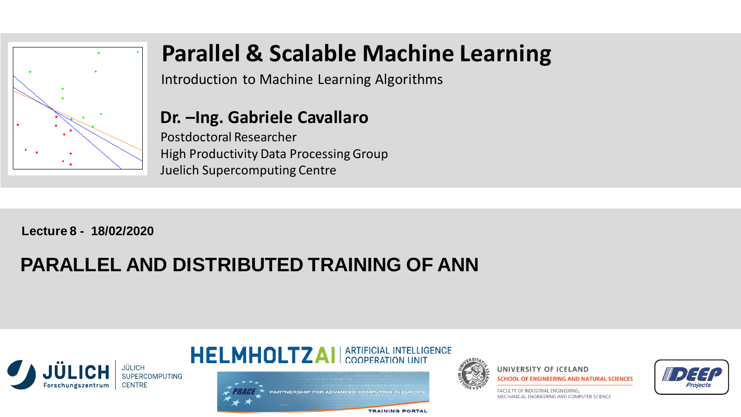

# **Parallel & Scalable Machine Learning**

Introduction to Machine Learning Algorithms

#### **Dr. –Ing. Gabriele Cavallaro**

Postdoctoral Researcher High Productivity Data Processing Group Juelich Supercomputing Centre

**Lecture 8 - 18/02/2020**

# **PARALLEL AND DISTRIBUTED TRAINING OF ANN**











ACULTY OF INDUSTRIAL ENGINEERING MECHANICAL ENGINEERING AND COMPUTER SCIENCE

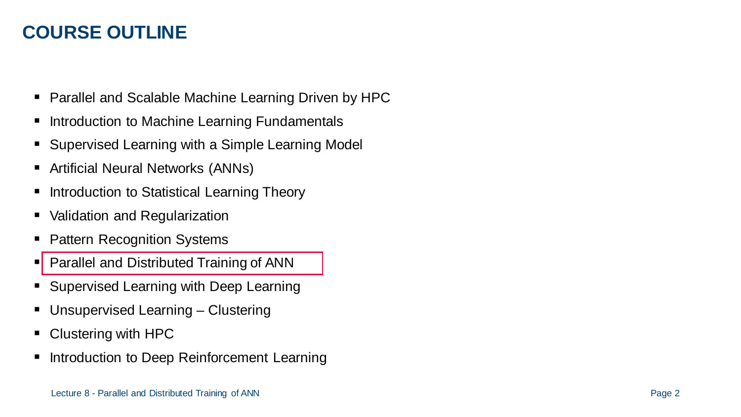# **COURSE OUTLINE**

- Parallel and Scalable Machine Learning Driven by HPC
- Introduction to Machine Learning Fundamentals
- **Supervised Learning with a Simple Learning Model**
- Artificial Neural Networks (ANNs)
- Introduction to Statistical Learning Theory
- Validation and Regularization
- Pattern Recognition Systems
- **Parallel and Distributed Training of ANN**
- **Supervised Learning with Deep Learning**
- Unsupervised Learning Clustering
- Clustering with HPC
- Introduction to Deep Reinforcement Learning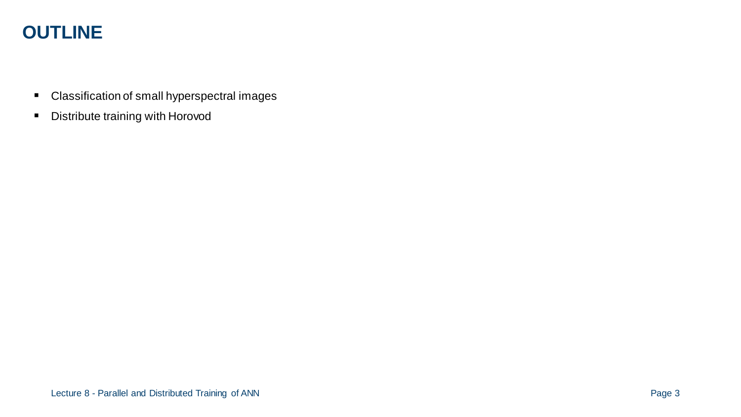# **OUTLINE**

- Classification of small hyperspectral images
- **-** Distribute training with Horovod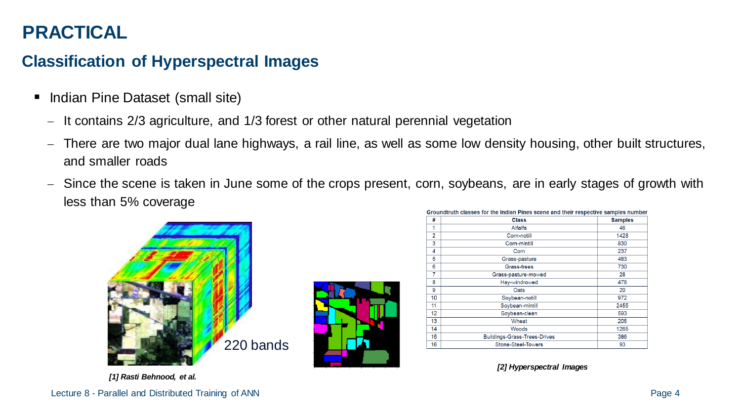# **PRACTICAL**

#### **Classification of Hyperspectral Images**

- Indian Pine Dataset (small site)
	- − It contains 2/3 agriculture, and 1/3 forest or other natural perennial vegetation
	- − There are two major dual lane highways, a rail line, as well as some low density housing, other built structures, and smaller roads
	- − Since the scene is taken in June some of the crops present, corn, soybeans, are in early stages of growth with less than 5% coverage





| #              | <b>Class</b>                 | <b>Samples</b> |
|----------------|------------------------------|----------------|
| 1              | Alfalfa                      | 46             |
| $\overline{2}$ | Corn-notill                  | 1428           |
| 3              | Corn-mintill                 | 830            |
| 4              | Corn                         | 237            |
| 5              | Grass-pasture                | 483            |
| 6              | Grass-trees                  | 730            |
| 7              | Grass-pasture-mowed          | 28             |
| 8              | Hay-windrowed                | 478            |
| 9              | Oats                         | 20             |
| 10             | Soybean-notill               | 972            |
| 11             | Soybean-mintill              | 2455           |
| 12             | Soybean-clean                | 593            |
| 13             | Wheat                        | 205            |
| 14             | Woods                        | 1265           |
| 15             | Buildings-Grass-Trees-Drives | 386            |
| 16             | <b>Stone-Steel-Towers</b>    | 93             |

*[2] Hyperspectral Images*

*[1] Rasti Behnood, et al.*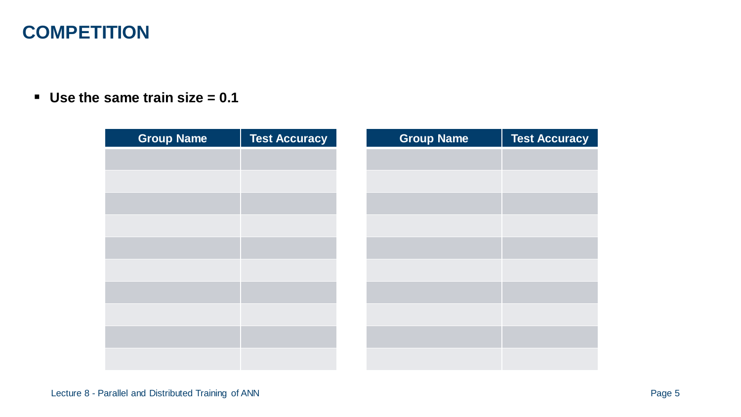# **COMPETITION**

**Use the same train size = 0.1**

| <b>Group Name</b> | <b>Test Accuracy</b> | <b>Group Name</b> | <b>Test Accuracy</b> |
|-------------------|----------------------|-------------------|----------------------|
|                   |                      |                   |                      |
|                   |                      |                   |                      |
|                   |                      |                   |                      |
|                   |                      |                   |                      |
|                   |                      |                   |                      |
|                   |                      |                   |                      |
|                   |                      |                   |                      |
|                   |                      |                   |                      |
|                   |                      |                   |                      |
|                   |                      |                   |                      |
|                   |                      |                   |                      |
|                   |                      |                   |                      |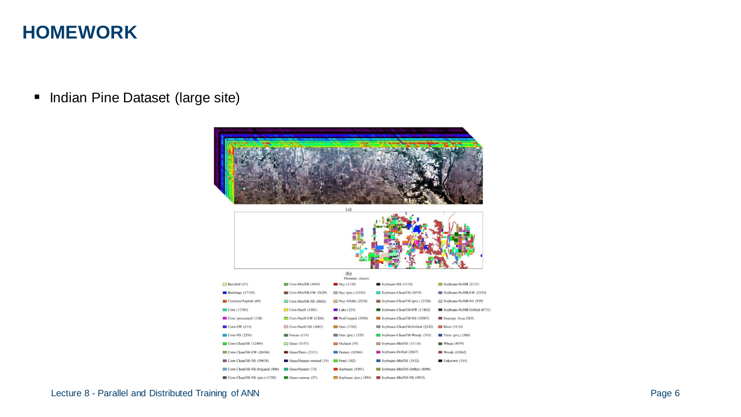### **HOMEWORK**

**Indian Pine Dataset (large site)** 

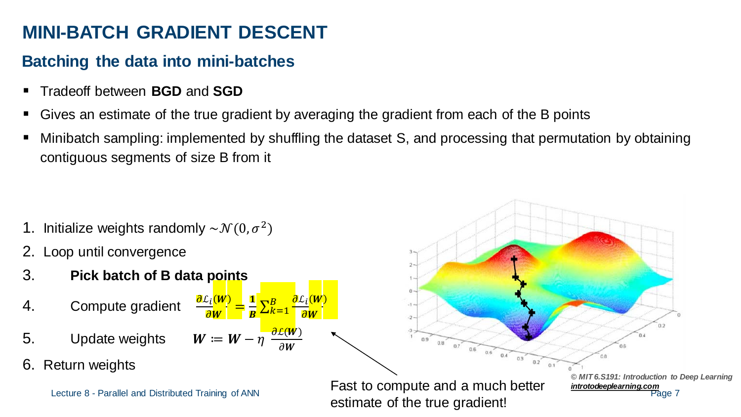# **MINI-BATCH GRADIENT DESCENT**

#### **Batching the data into mini-batches**

- Tradeoff between **BGD** and **SGD**
- Gives an estimate of the true gradient by averaging the gradient from each of the B points
- Minibatch sampling: implemented by shuffling the dataset S, and processing that permutation by obtaining contiguous segments of size B from it

- 1. Initialize weights randomly  $\sim \mathcal{N}(0, \sigma^2)$
- 2. Loop until convergence
- 3. **Pick batch of B data points**
- 4. Compute gradient
- 5. Update weights  $W \coloneqq W \eta \; \frac{\partial L(W)}{\partial W}$
- 6. Return weights



 $\partial W$ 

=  $\frac{1}{\sqrt{2}}$ 

 $\frac{1}{B}\sum_{k=1}^{B}$ 

 $B$   $\frac{\partial L_i(W)}{\partial L_i}$ 

 $\partial W$ 

 $\partial W$ 

Fast to compute and a much better *[introtodeeplearning.com](http://introtodeeplearning.com/)* Lecture 8 - Parallel and Distributed Training of ANNestimate of the true gradient!

 $09$ 

 $0.8$  0.7 0.6 0.5 0.4

 $0.3$ 

 $0.2$ 

Page 7 *© MIT 6.S191: Introduction to Deep Learning*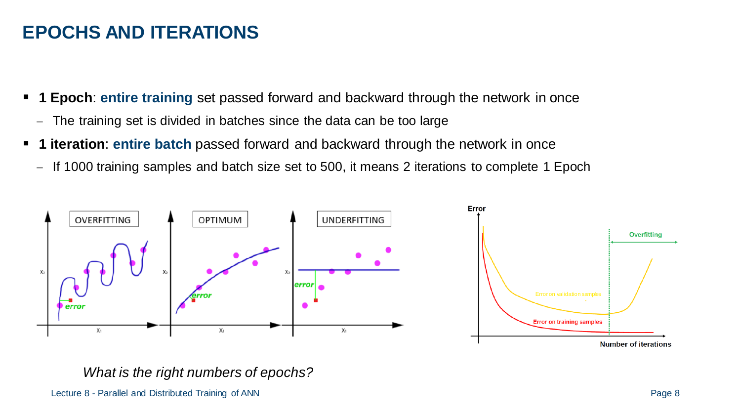# **EPOCHS AND ITERATIONS**

- **1 Epoch**: **entire training** set passed forward and backward through the network in once
	- − The training set is divided in batches since the data can be too large
- **1 iteration**: **entire batch** passed forward and backward through the network in once
	- − If 1000 training samples and batch size set to 500, it means 2 iterations to complete 1 Epoch



*What is the right numbers of epochs?*

Lecture 8 - Parallel and Distributed Training of ANN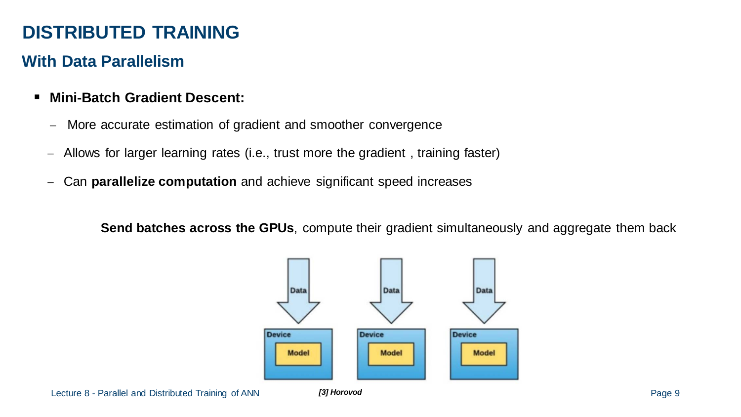# **DISTRIBUTED TRAINING**

#### **With Data Parallelism**

- **Mini-Batch Gradient Descent:**
	- More accurate estimation of gradient and smoother convergence
	- − Allows for larger learning rates (i.e., trust more the gradient , training faster)
	- − Can **parallelize computation** and achieve significant speed increases

**Send batches across the GPUs**, compute their gradient simultaneously and aggregate them back

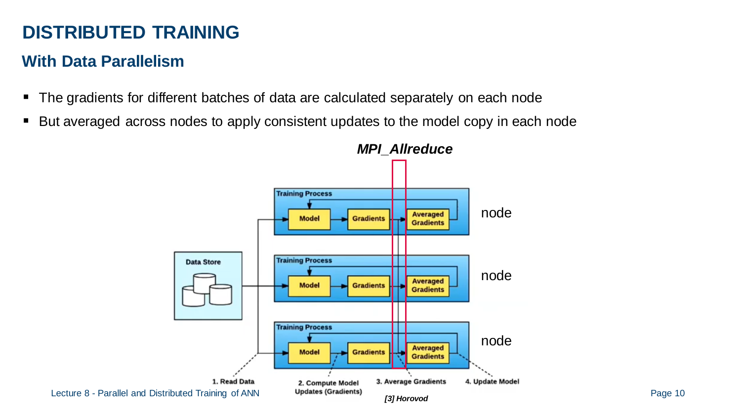# **DISTRIBUTED TRAINING**

#### **With Data Parallelism**

- The gradients for different batches of data are calculated separately on each node
- But averaged across nodes to apply consistent updates to the model copy in each node

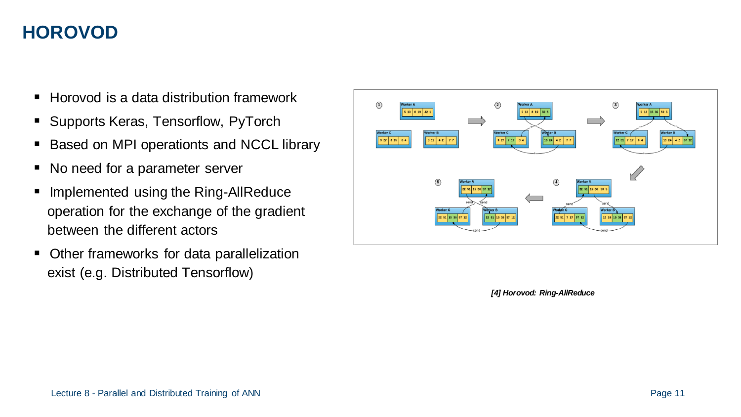- Horovod is a data distribution framework
- Supports Keras, Tensorflow, PyTorch
- Based on MPI operationts and NCCL library
- No need for a parameter server
- **Implemented using the Ring-AllReduce** operation for the exchange of the gradient between the different actors
- **Other frameworks for data parallelization** exist (e.g. Distributed Tensorflow)



*[4] Horovod: Ring-AllReduce*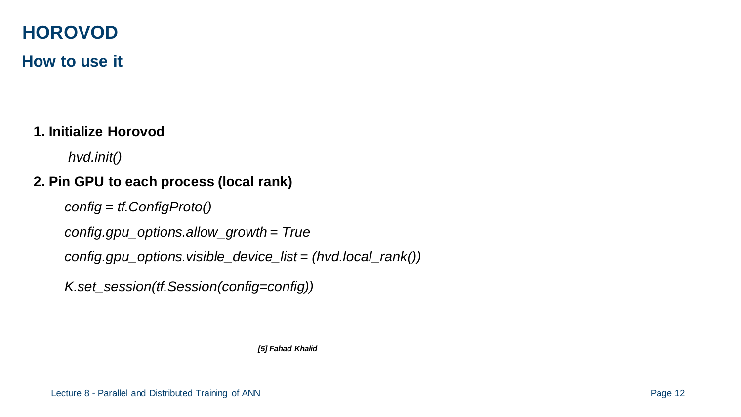#### **How to use it**

#### **1. Initialize Horovod**

*hvd.init()*

#### **2. Pin GPU to each process (local rank)**

*config = tf.ConfigProto()* 

*config.gpu\_options.allow\_growth = True*

```
config.gpu_options.visible_device_list = (hvd.local_rank())
```
*K.set\_session(tf.Session(config=config))* 

*[5] Fahad Khalid*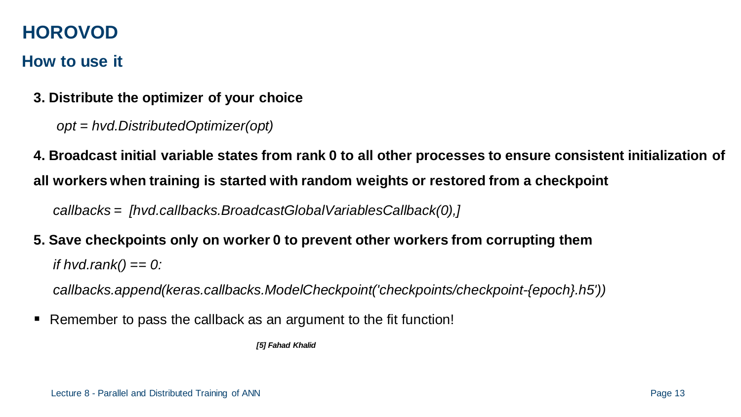#### **How to use it**

- **3. Distribute the optimizer of your choice** 
	- *opt = hvd.DistributedOptimizer(opt)*

**4. Broadcast initial variable states from rank 0 to all other processes to ensure consistent initialization of all workers when training is started with random weights or restored from a checkpoint**

*callbacks = [hvd.callbacks.BroadcastGlobalVariablesCallback(0),]*

**5. Save checkpoints only on worker 0 to prevent other workers from corrupting them**

*if hvd.rank() == 0:*

*callbacks.append(keras.callbacks.ModelCheckpoint('checkpoints/checkpoint-{epoch}.h5'))*

Remember to pass the callback as an argument to the fit function!

*[5] Fahad Khalid*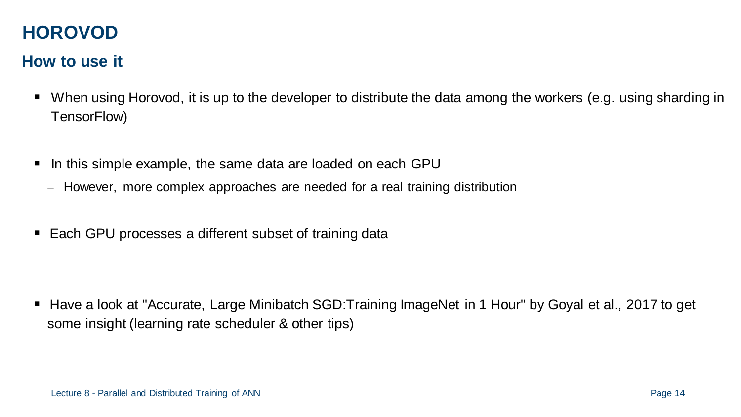#### **How to use it**

- When using Horovod, it is up to the developer to distribute the data among the workers (e.g. using sharding in TensorFlow)
- In this simple example, the same data are loaded on each GPU
	- − However, more complex approaches are needed for a real training distribution
- Each GPU processes a different subset of training data

Have a look at "Accurate, Large Minibatch SGD: Training ImageNet in 1 Hour" by Goyal et al., 2017 to get some insight (learning rate scheduler & other tips)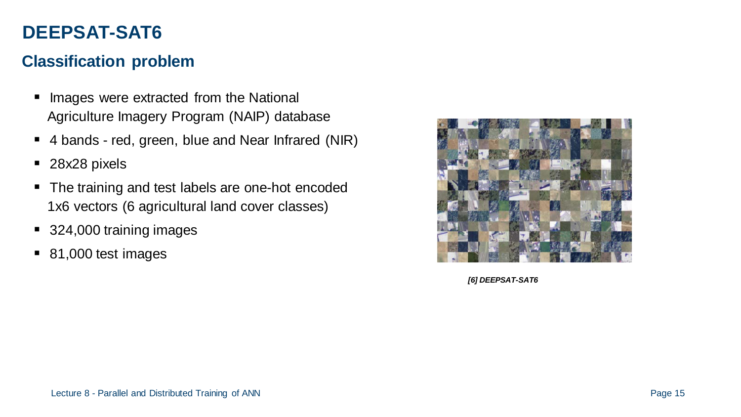# **DEEPSAT-SAT6**

#### **Classification problem**

- **Inages were extracted from the National** Agriculture Imagery Program (NAIP) database
- 4 bands red, green, blue and Near Infrared (NIR)
- 28x28 pixels
- The training and test labels are one-hot encoded 1x6 vectors (6 agricultural land cover classes)
- 324,000 training images
- 81,000 test images



*[6] DEEPSAT-SAT6*